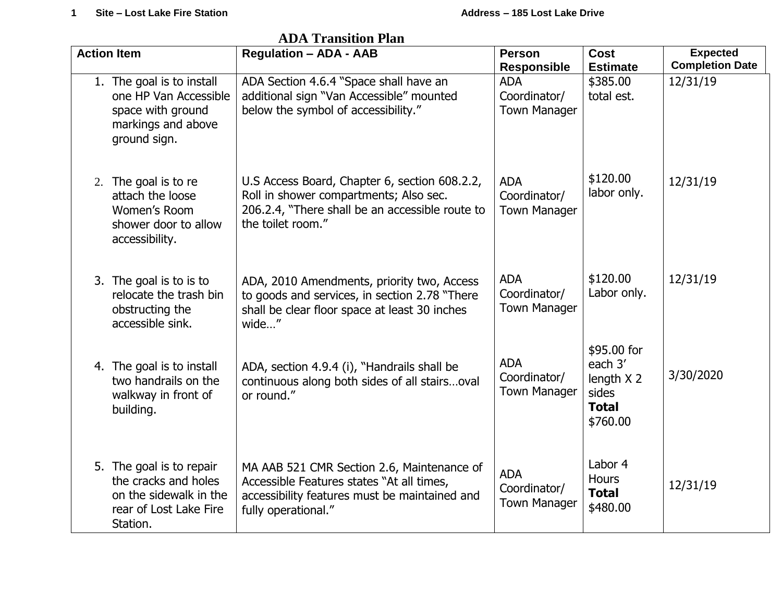| дрд нацыйші нап    |                                                                                                                  |                                                                                                                                                                 |                                                   |                                                                           |                                           |  |  |  |
|--------------------|------------------------------------------------------------------------------------------------------------------|-----------------------------------------------------------------------------------------------------------------------------------------------------------------|---------------------------------------------------|---------------------------------------------------------------------------|-------------------------------------------|--|--|--|
| <b>Action Item</b> |                                                                                                                  | <b>Regulation - ADA - AAB</b>                                                                                                                                   | <b>Person</b><br><b>Responsible</b>               | <b>Cost</b><br><b>Estimate</b>                                            | <b>Expected</b><br><b>Completion Date</b> |  |  |  |
|                    | 1. The goal is to install<br>one HP Van Accessible<br>space with ground<br>markings and above<br>ground sign.    | ADA Section 4.6.4 "Space shall have an<br>additional sign "Van Accessible" mounted<br>below the symbol of accessibility."                                       | <b>ADA</b><br>Coordinator/<br><b>Town Manager</b> | \$385.00<br>total est.                                                    | 12/31/19                                  |  |  |  |
|                    | 2. The goal is to re<br>attach the loose<br>Women's Room<br>shower door to allow<br>accessibility.               | U.S Access Board, Chapter 6, section 608.2.2,<br>Roll in shower compartments; Also sec.<br>206.2.4, "There shall be an accessible route to<br>the toilet room." | <b>ADA</b><br>Coordinator/<br><b>Town Manager</b> | \$120.00<br>labor only.                                                   | 12/31/19                                  |  |  |  |
|                    | 3. The goal is to is to<br>relocate the trash bin<br>obstructing the<br>accessible sink.                         | ADA, 2010 Amendments, priority two, Access<br>to goods and services, in section 2.78 "There<br>shall be clear floor space at least 30 inches<br>wide"           | <b>ADA</b><br>Coordinator/<br><b>Town Manager</b> | \$120.00<br>Labor only.                                                   | 12/31/19                                  |  |  |  |
|                    | 4. The goal is to install<br>two handrails on the<br>walkway in front of<br>building.                            | ADA, section 4.9.4 (i), "Handrails shall be<br>continuous along both sides of all stairsoval<br>or round."                                                      | <b>ADA</b><br>Coordinator/<br><b>Town Manager</b> | \$95.00 for<br>each 3'<br>length X 2<br>sides<br><b>Total</b><br>\$760.00 | 3/30/2020                                 |  |  |  |
|                    | 5. The goal is to repair<br>the cracks and holes<br>on the sidewalk in the<br>rear of Lost Lake Fire<br>Station. | MA AAB 521 CMR Section 2.6, Maintenance of<br>Accessible Features states "At all times,<br>accessibility features must be maintained and<br>fully operational." | <b>ADA</b><br>Coordinator/<br><b>Town Manager</b> | Labor 4<br><b>Hours</b><br><b>Total</b><br>\$480.00                       | 12/31/19                                  |  |  |  |

 **ADA Transition Plan**